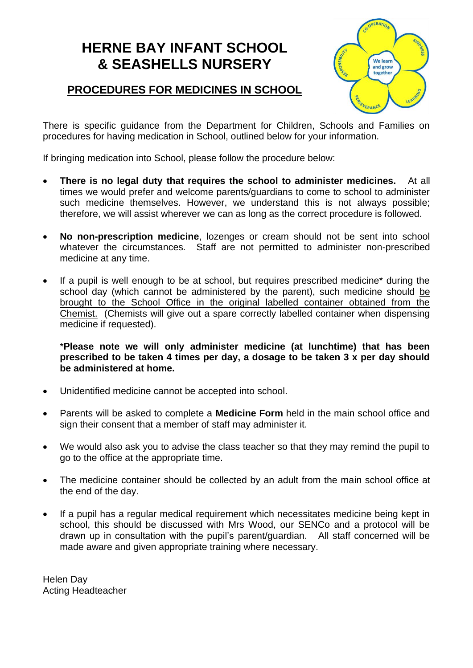# **HERNE BAY INFANT SCHOOL & SEASHELLS NURSERY**

### **PROCEDURES FOR MEDICINES IN SCHOOL**



There is specific guidance from the Department for Children, Schools and Families on procedures for having medication in School, outlined below for your information.

If bringing medication into School, please follow the procedure below:

- **There is no legal duty that requires the school to administer medicines.** At all times we would prefer and welcome parents/guardians to come to school to administer such medicine themselves. However, we understand this is not always possible; therefore, we will assist wherever we can as long as the correct procedure is followed.
- **No non-prescription medicine**, lozenges or cream should not be sent into school whatever the circumstances. Staff are not permitted to administer non-prescribed medicine at any time.
- If a pupil is well enough to be at school, but requires prescribed medicine<sup>\*</sup> during the school day (which cannot be administered by the parent), such medicine should be brought to the School Office in the original labelled container obtained from the Chemist. (Chemists will give out a spare correctly labelled container when dispensing medicine if requested).

\***Please note we will only administer medicine (at lunchtime) that has been prescribed to be taken 4 times per day, a dosage to be taken 3 x per day should be administered at home.**

- Unidentified medicine cannot be accepted into school.
- Parents will be asked to complete a **Medicine Form** held in the main school office and sign their consent that a member of staff may administer it.
- We would also ask you to advise the class teacher so that they may remind the pupil to go to the office at the appropriate time.
- The medicine container should be collected by an adult from the main school office at the end of the day.
- If a pupil has a regular medical requirement which necessitates medicine being kept in school, this should be discussed with Mrs Wood, our SENCo and a protocol will be drawn up in consultation with the pupil's parent/guardian. All staff concerned will be made aware and given appropriate training where necessary.

Helen Day Acting Headteacher